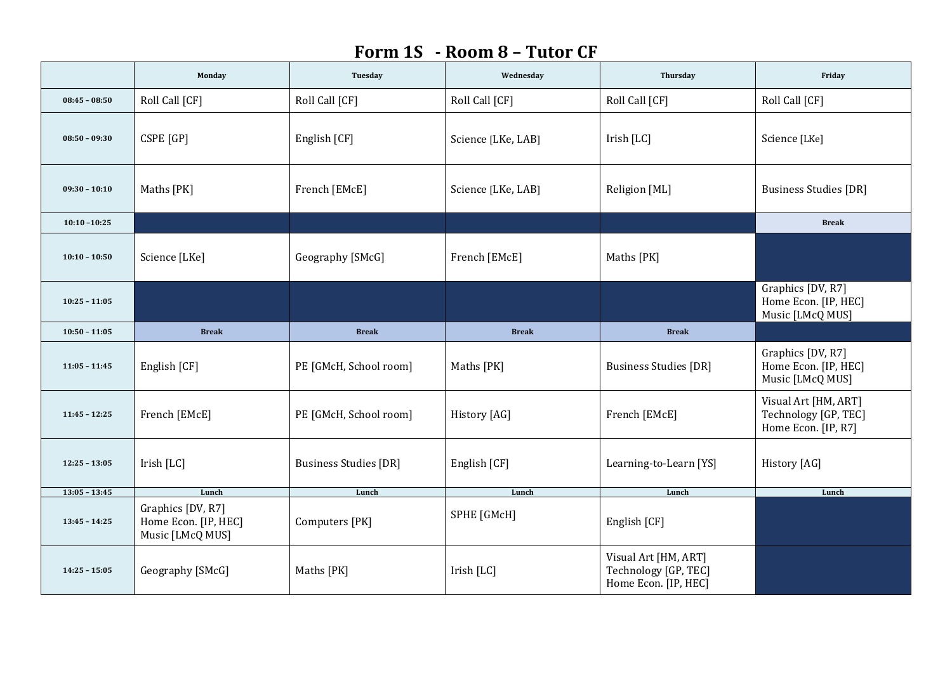## **Form 1S - Room 8 – Tutor CF**

|                 | Monday                                                        | Tuesday                      | Wednesday          | Thursday                                                             | Friday                                                              |
|-----------------|---------------------------------------------------------------|------------------------------|--------------------|----------------------------------------------------------------------|---------------------------------------------------------------------|
| $08:45 - 08:50$ | Roll Call [CF]                                                | Roll Call [CF]               | Roll Call [CF]     | Roll Call [CF]                                                       | Roll Call [CF]                                                      |
| $08:50 - 09:30$ | CSPE [GP]                                                     | English [CF]                 | Science [LKe, LAB] | Irish [LC]                                                           | Science [LKe]                                                       |
| $09:30 - 10:10$ | Maths [PK]                                                    | French [EMcE]                | Science [LKe, LAB] | Religion [ML]                                                        | <b>Business Studies [DR]</b>                                        |
| $10:10 - 10:25$ |                                                               |                              |                    |                                                                      | <b>Break</b>                                                        |
| $10:10 - 10:50$ | Science [LKe]                                                 | Geography [SMcG]             | French [EMcE]      | Maths [PK]                                                           |                                                                     |
| $10:25 - 11:05$ |                                                               |                              |                    |                                                                      | Graphics [DV, R7]<br>Home Econ. [IP, HEC]<br>Music [LMcQ MUS]       |
| $10:50 - 11:05$ | <b>Break</b>                                                  | <b>Break</b>                 | <b>Break</b>       | <b>Break</b>                                                         |                                                                     |
| $11:05 - 11:45$ | English [CF]                                                  | PE [GMcH, School room]       | Maths [PK]         | <b>Business Studies [DR]</b>                                         | Graphics [DV, R7]<br>Home Econ. [IP, HEC]<br>Music [LMcQ MUS]       |
| $11:45 - 12:25$ | French [EMcE]                                                 | PE [GMcH, School room]       | History [AG]       | French [EMcE]                                                        | Visual Art [HM, ART]<br>Technology [GP, TEC]<br>Home Econ. [IP, R7] |
| $12:25 - 13:05$ | Irish [LC]                                                    | <b>Business Studies [DR]</b> | English [CF]       | Learning-to-Learn [YS]                                               | History [AG]                                                        |
| $13:05 - 13:45$ | Lunch                                                         | Lunch                        | Lunch              | Lunch                                                                | Lunch                                                               |
| $13:45 - 14:25$ | Graphics [DV, R7]<br>Home Econ. [IP, HEC]<br>Music [LMcQ MUS] | Computers [PK]               | SPHE [GMcH]        | English [CF]                                                         |                                                                     |
| $14:25 - 15:05$ | Geography [SMcG]                                              | Maths [PK]                   | Irish [LC]         | Visual Art [HM, ART]<br>Technology [GP, TEC]<br>Home Econ. [IP, HEC] |                                                                     |